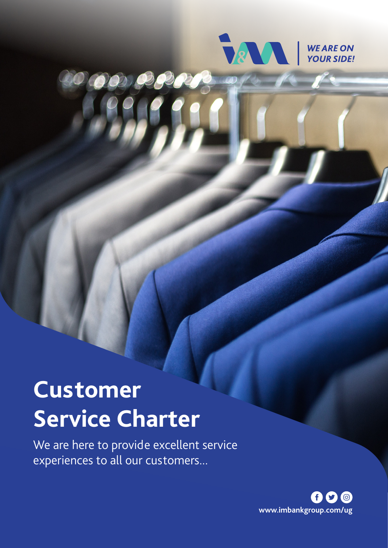

# OO OPR

# **Customer Service Charter**

We are here to provide excellent service experiences to all our customers...

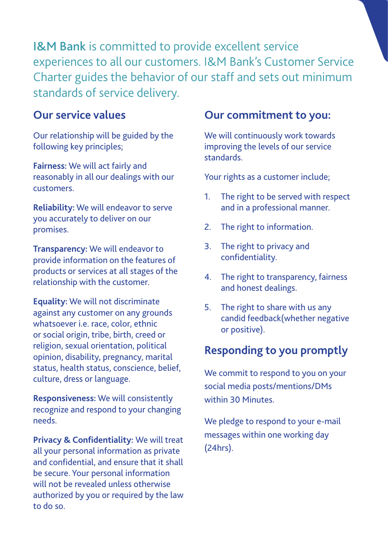I&M Bank is committed to provide excellent service experiences to all our customers. I&M Bank's Customer Service Charter guides the behavior of our staff and sets out minimum standards of service delivery.

### **Our service values**

Our relationship will be guided by the following key principles;

**Fairness:** We will act fairly and reasonably in all our dealings with our customers.

**Reliability:** We will endeavor to serve you accurately to deliver on our promises.

**Transparency:** We will endeavor to provide information on the features of products or services at all stages of the relationship with the customer.

**Equality:** We will not discriminate against any customer on any grounds whatsoever i.e. race, color, ethnic or social origin, tribe, birth, creed or religion, sexual orientation, political opinion, disability, pregnancy, marital status, health status, conscience, belief, culture, dress or language.

**Responsiveness:** We will consistently recognize and respond to your changing needs.

**Privacy & Confidentiality:** We will treat all your personal information as private and confidential, and ensure that it shall be secure. Your personal information will not be revealed unless otherwise authorized by you or required by the law to do so.

### **Our commitment to you:**

We will continuously work towards improving the levels of our service standards.

Your rights as a customer include;

- 1. The right to be served with respect and in a professional manner.
- 2. The right to information.
- 3. The right to privacy and confidentiality.
- 4. The right to transparency, fairness and honest dealings.
- 5. The right to share with us any candid feedback(whether negative or positive).

# **Responding to you promptly**

We commit to respond to you on your social media posts/mentions/DMs within 30 Minutes.

We pledge to respond to your e-mail messages within one working day (24hrs).